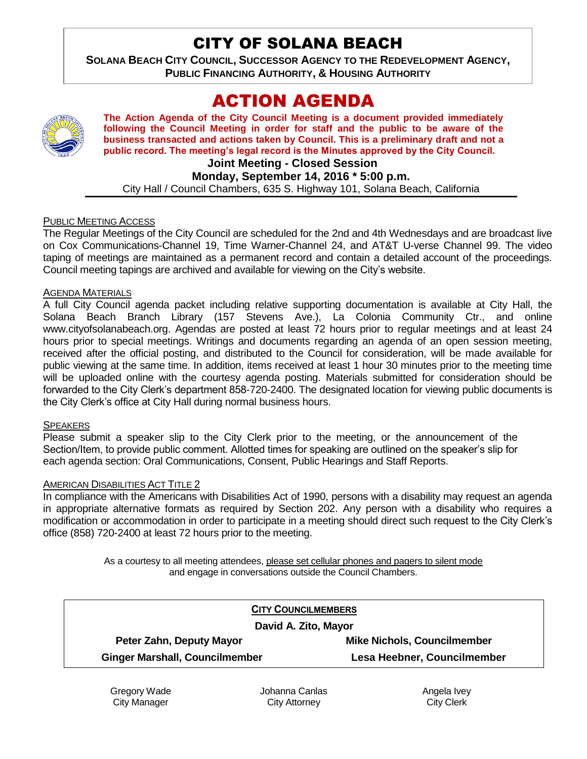# CITY OF SOLANA BEACH

**SOLANA BEACH CITY COUNCIL, SUCCESSOR AGENCY TO THE REDEVELOPMENT AGENCY, PUBLIC FINANCING AUTHORITY, & HOUSING AUTHORITY** 

# ACTION AGENDA



**The Action Agenda of the City Council Meeting is a document provided immediately following the Council Meeting in order for staff and the public to be aware of the business transacted and actions taken by Council. This is a preliminary draft and not a public record. The meeting's legal record is the Minutes approved by the City Council.**

# **Joint Meeting - Closed Session**

**Monday, September 14, 2016 \* 5:00 p.m.**

City Hall / Council Chambers, 635 S. Highway 101, Solana Beach, California

#### PUBLIC MEETING ACCESS

The Regular Meetings of the City Council are scheduled for the 2nd and 4th Wednesdays and are broadcast live on Cox Communications-Channel 19, Time Warner-Channel 24, and AT&T U-verse Channel 99. The video taping of meetings are maintained as a permanent record and contain a detailed account of the proceedings. Council meeting tapings are archived and available for viewing on the City's website.

#### AGENDA MATERIALS

A full City Council agenda packet including relative supporting documentation is available at City Hall, the Solana Beach Branch Library (157 Stevens Ave.), La Colonia Community Ctr., and online www.cityofsolanabeach.org. Agendas are posted at least 72 hours prior to regular meetings and at least 24 hours prior to special meetings. Writings and documents regarding an agenda of an open session meeting, received after the official posting, and distributed to the Council for consideration, will be made available for public viewing at the same time. In addition, items received at least 1 hour 30 minutes prior to the meeting time will be uploaded online with the courtesy agenda posting. Materials submitted for consideration should be forwarded to the City Clerk's department 858-720-2400. The designated location for viewing public documents is the City Clerk's office at City Hall during normal business hours.

#### **SPEAKERS**

Please submit a speaker slip to the City Clerk prior to the meeting, or the announcement of the Section/Item, to provide public comment. Allotted times for speaking are outlined on the speaker's slip for each agenda section: Oral Communications, Consent, Public Hearings and Staff Reports.

#### AMERICAN DISABILITIES ACT TITLE 2

In compliance with the Americans with Disabilities Act of 1990, persons with a disability may request an agenda in appropriate alternative formats as required by Section 202. Any person with a disability who requires a modification or accommodation in order to participate in a meeting should direct such request to the City Clerk's office (858) 720-2400 at least 72 hours prior to the meeting.

> As a courtesy to all meeting attendees, please set cellular phones and pagers to silent mode and engage in conversations outside the Council Chambers.

| <b>CITY COUNCILMEMBERS</b>            |                                    |
|---------------------------------------|------------------------------------|
| David A. Zito, Mayor                  |                                    |
| Peter Zahn, Deputy Mayor              | <b>Mike Nichols, Councilmember</b> |
| <b>Ginger Marshall, Councilmember</b> | Lesa Heebner, Councilmember        |

Gregory Wade City Manager

Johanna Canlas City Attorney

Angela Ivey City Clerk